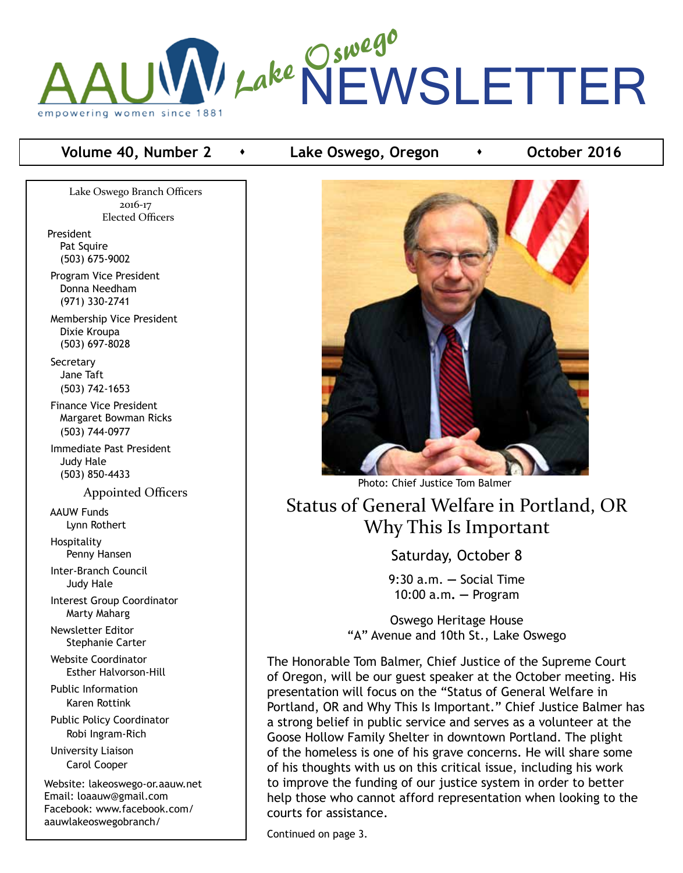

### **Volume 40, Number 2 compared • Lake Oswego, Oregon · Collect 2016**

Lake Oswego Branch Officers 2016-17 Elected Officers President Pat Squire (503) 675-9002 Program Vice President Donna Needham (971) 330-2741 Membership Vice President Dixie Kroupa (503) 697-8028 **Secretary**  Jane Taft (503) 742-1653 Finance Vice President Margaret Bowman Ricks (503) 744-0977 Immediate Past President Judy Hale (503) 850-4433 Appointed Officers AAUW Funds Lynn Rothert Hospitality Penny Hansen Inter-Branch Council Judy Hale Interest Group Coordinator Marty Maharg Newsletter Editor Stephanie Carter Website Coordinator Esther Halvorson-Hill Public Information Karen Rottink Public Policy Coordinator Robi Ingram-Rich University Liaison Carol Cooper Website: lakeoswego-or.aauw.net Email: loaauw@gmail.com Facebook: www.facebook.com/ aauwlakeoswegobranch/



Status of General Welfare in Portland, OR Why This Is Important

Saturday, October 8

9:30 a.m. **—** Social Time 10:00 a.m**. —** Program

Oswego Heritage House "A" Avenue and 10th St., Lake Oswego

The Honorable Tom Balmer, Chief Justice of the Supreme Court of Oregon, will be our guest speaker at the October meeting. His presentation will focus on the "Status of General Welfare in Portland, OR and Why This Is Important." Chief Justice Balmer has a strong belief in public service and serves as a volunteer at the Goose Hollow Family Shelter in downtown Portland. The plight of the homeless is one of his grave concerns. He will share some of his thoughts with us on this critical issue, including his work to improve the funding of our justice system in order to better help those who cannot afford representation when looking to the courts for assistance.

Continued on page 3.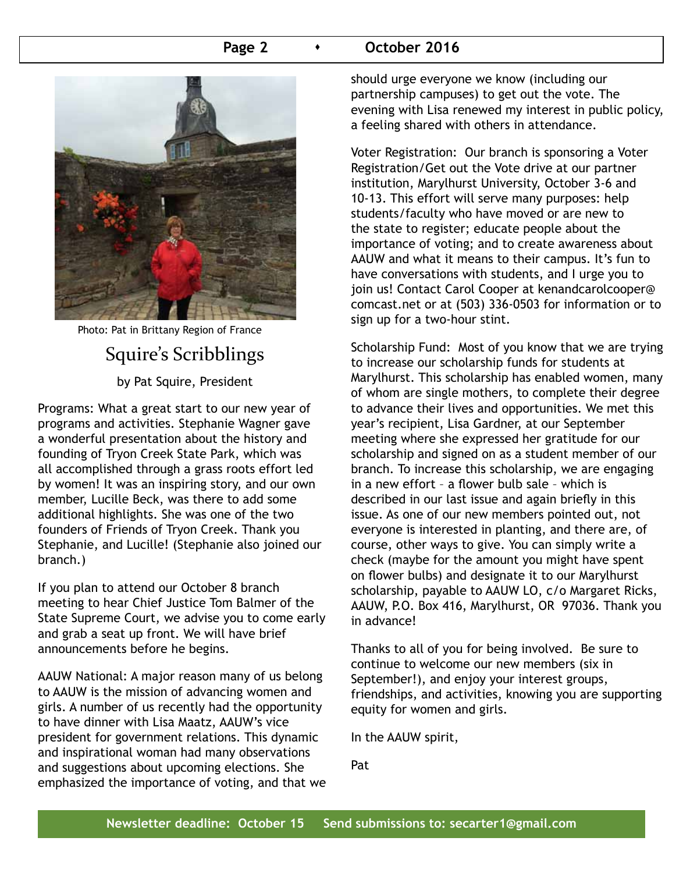### **Page 2 b c October 2016**



Photo: Pat in Brittany Region of France

# Squire's Scribblings by Pat Squire, President

Programs: What a great start to our new year of programs and activities. Stephanie Wagner gave a wonderful presentation about the history and founding of Tryon Creek State Park, which was all accomplished through a grass roots effort led by women! It was an inspiring story, and our own member, Lucille Beck, was there to add some additional highlights. She was one of the two founders of Friends of Tryon Creek. Thank you Stephanie, and Lucille! (Stephanie also joined our branch.)

If you plan to attend our October 8 branch meeting to hear Chief Justice Tom Balmer of the State Supreme Court, we advise you to come early and grab a seat up front. We will have brief announcements before he begins.

AAUW National: A major reason many of us belong to AAUW is the mission of advancing women and girls. A number of us recently had the opportunity to have dinner with Lisa Maatz, AAUW's vice president for government relations. This dynamic and inspirational woman had many observations and suggestions about upcoming elections. She emphasized the importance of voting, and that we should urge everyone we know (including our partnership campuses) to get out the vote. The evening with Lisa renewed my interest in public policy, a feeling shared with others in attendance.

Voter Registration: Our branch is sponsoring a Voter Registration/Get out the Vote drive at our partner institution, Marylhurst University, October 3-6 and 10-13. This effort will serve many purposes: help students/faculty who have moved or are new to the state to register; educate people about the importance of voting; and to create awareness about AAUW and what it means to their campus. It's fun to have conversations with students, and I urge you to join us! Contact Carol Cooper at kenandcarolcooper@ comcast.net or at (503) 336-0503 for information or to sign up for a two-hour stint.

Scholarship Fund: Most of you know that we are trying to increase our scholarship funds for students at Marylhurst. This scholarship has enabled women, many of whom are single mothers, to complete their degree to advance their lives and opportunities. We met this year's recipient, Lisa Gardner, at our September meeting where she expressed her gratitude for our scholarship and signed on as a student member of our branch. To increase this scholarship, we are engaging in a new effort – a flower bulb sale – which is described in our last issue and again briefly in this issue. As one of our new members pointed out, not everyone is interested in planting, and there are, of course, other ways to give. You can simply write a check (maybe for the amount you might have spent on flower bulbs) and designate it to our Marylhurst scholarship, payable to AAUW LO, c/o Margaret Ricks, AAUW, P.O. Box 416, Marylhurst, OR 97036. Thank you in advance!

Thanks to all of you for being involved. Be sure to continue to welcome our new members (six in September!), and enjoy your interest groups, friendships, and activities, knowing you are supporting equity for women and girls.

In the AAUW spirit,

Pat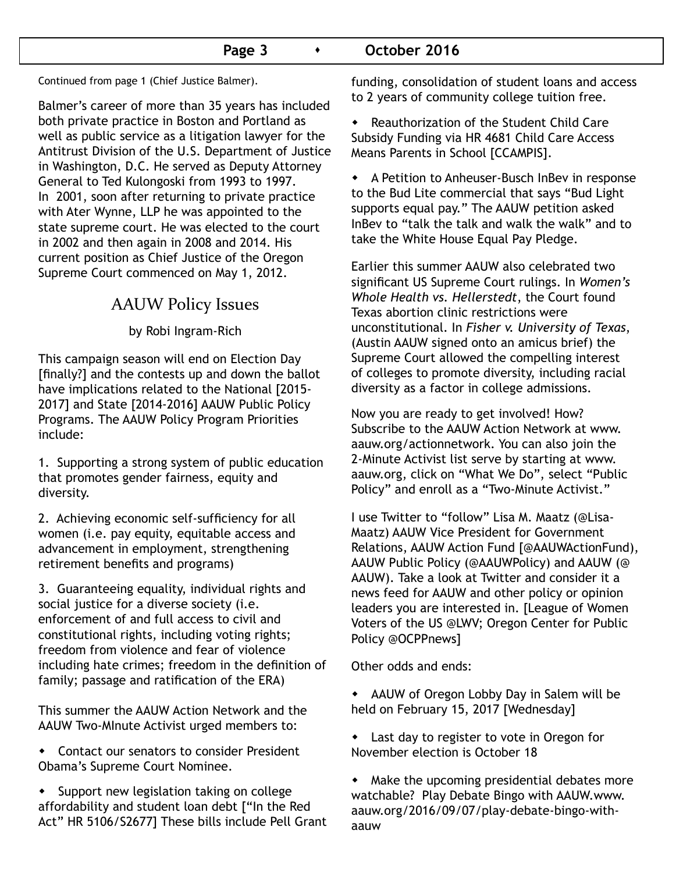### Page 3 **CELO CELOPER 2016**

Continued from page 1 (Chief Justice Balmer).

Balmer's career of more than 35 years has included both private practice in Boston and Portland as well as public service as a litigation lawyer for the Antitrust Division of the U.S. Department of Justice in Washington, D.C. He served as Deputy Attorney General to Ted Kulongoski from 1993 to 1997. In 2001, soon after returning to private practice with Ater Wynne, LLP he was appointed to the state supreme court. He was elected to the court in 2002 and then again in 2008 and 2014. His current position as Chief Justice of the Oregon Supreme Court commenced on May 1, 2012.

# AAUW Policy Issues

by Robi Ingram-Rich

This campaign season will end on Election Day [finally?] and the contests up and down the ballot have implications related to the National [2015- 2017] and State [2014-2016] AAUW Public Policy Programs. The AAUW Policy Program Priorities include:

1. Supporting a strong system of public education that promotes gender fairness, equity and diversity.

2. Achieving economic self-sufficiency for all women (i.e. pay equity, equitable access and advancement in employment, strengthening retirement benefits and programs)

3. Guaranteeing equality, individual rights and social justice for a diverse society (*i.e.* enforcement of and full access to civil and constitutional rights, including voting rights; freedom from violence and fear of violence including hate crimes; freedom in the definition of family; passage and ratification of the ERA)

This summer the AAUW Action Network and the AAUW Two-MInute Activist urged members to:

- Contact our senators to consider President Obama's Supreme Court Nominee.
- $\bullet$  Support new legislation taking on college affordability and student loan debt ["In the Red Act" HR 5106/S2677] These bills include Pell Grant

funding, consolidation of student loans and access to 2 years of community college tuition free.

 $\bullet$  Reauthorization of the Student Child Care Subsidy Funding via HR 4681 Child Care Access Means Parents in School [CCAMPIS].

• A Petition to Anheuser-Busch InBev in response to the Bud Lite commercial that says "Bud Light supports equal pay." The AAUW petition asked InBev to "talk the talk and walk the walk" and to take the White House Equal Pay Pledge.

Earlier this summer AAUW also celebrated two significant US Supreme Court rulings. In *Women's Whole Health vs. Hellerstedt*, the Court found Texas abortion clinic restrictions were unconstitutional. In *Fisher v. University of Texas*, (Austin AAUW signed onto an amicus brief) the Supreme Court allowed the compelling interest of colleges to promote diversity, including racial diversity as a factor in college admissions.

Now you are ready to get involved! How? Subscribe to the AAUW Action Network at www. aauw.org/actionnetwork. You can also join the 2-Minute Activist list serve by starting at www. aauw.org, click on "What We Do", select "Public Policy" and enroll as a "Two-Minute Activist."

I use Twitter to "follow" Lisa M. Maatz (@Lisa-Maatz) AAUW Vice President for Government Relations, AAUW Action Fund [@AAUWActionFund), AAUW Public Policy (@AAUWPolicy) and AAUW (@ AAUW). Take a look at Twitter and consider it a news feed for AAUW and other policy or opinion leaders you are interested in. [League of Women Voters of the US @LWV; Oregon Center for Public Policy @OCPPnews]

Other odds and ends:

- AAUW of Oregon Lobby Day in Salem will be held on February 15, 2017 [Wednesday]
- Last day to register to vote in Oregon for November election is October 18

 $\bullet$  Make the upcoming presidential debates more watchable? Play Debate Bingo with AAUW.www. aauw.org/2016/09/07/play-debate-bingo-withaauw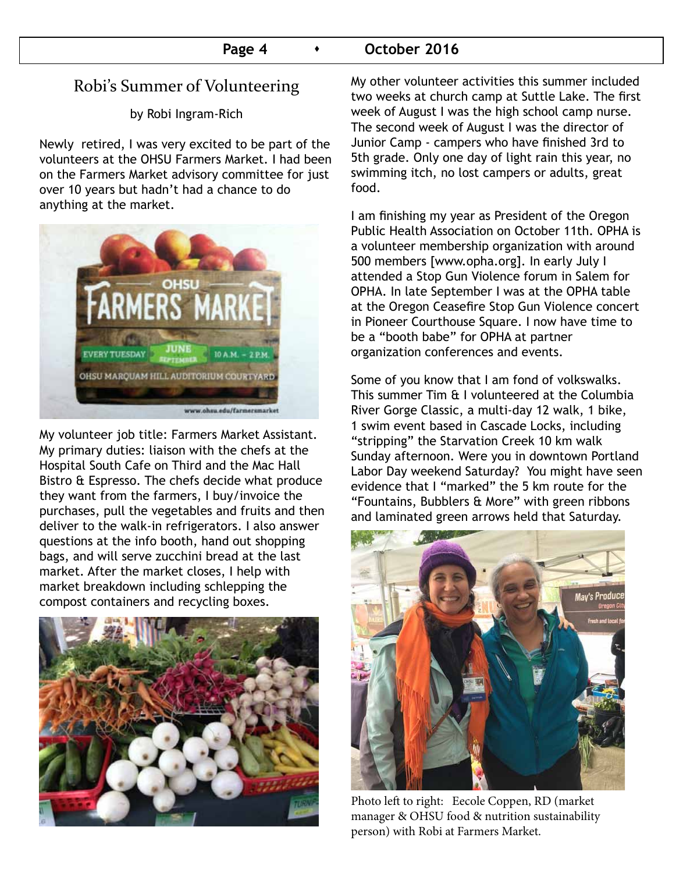# Robi's Summer of Volunteering

by Robi Ingram-Rich

Newly retired, I was very excited to be part of the volunteers at the OHSU Farmers Market. I had been on the Farmers Market advisory committee for just over 10 years but hadn't had a chance to do anything at the market.



My volunteer job title: Farmers Market Assistant. My primary duties: liaison with the chefs at the Hospital South Cafe on Third and the Mac Hall Bistro & Espresso. The chefs decide what produce they want from the farmers, I buy/invoice the purchases, pull the vegetables and fruits and then deliver to the walk-in refrigerators. I also answer questions at the info booth, hand out shopping bags, and will serve zucchini bread at the last market. After the market closes, I help with market breakdown including schlepping the compost containers and recycling boxes.



My other volunteer activities this summer included two weeks at church camp at Suttle Lake. The first week of August I was the high school camp nurse. The second week of August I was the director of Junior Camp - campers who have finished 3rd to 5th grade. Only one day of light rain this year, no swimming itch, no lost campers or adults, great food.

I am finishing my year as President of the Oregon Public Health Association on October 11th. OPHA is a volunteer membership organization with around 500 members [www.opha.org]. In early July I attended a Stop Gun Violence forum in Salem for OPHA. In late September I was at the OPHA table at the Oregon Ceasefire Stop Gun Violence concert in Pioneer Courthouse Square. I now have time to be a "booth babe" for OPHA at partner organization conferences and events.

Some of you know that I am fond of volkswalks. This summer Tim & I volunteered at the Columbia River Gorge Classic, a multi-day 12 walk, 1 bike, 1 swim event based in Cascade Locks, including "stripping" the Starvation Creek 10 km walk Sunday afternoon. Were you in downtown Portland Labor Day weekend Saturday? You might have seen evidence that I "marked" the 5 km route for the "Fountains, Bubblers & More" with green ribbons and laminated green arrows held that Saturday.



Photo left to right: Eecole Coppen, RD (market manager & OHSU food & nutrition sustainability person) with Robi at Farmers Market.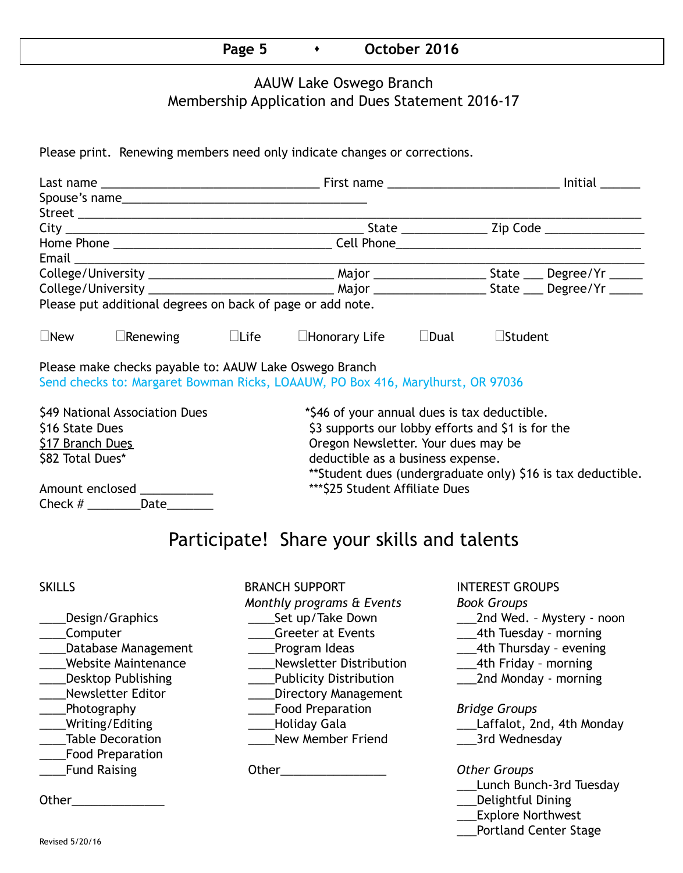### **Page 5 b b** October 2016

### AAUW Lake Oswego Branch Membership Application and Dues Statement 2016-17

Please print. Renewing members need only indicate changes or corrections.

| Please put additional degrees on back of page or add note. |                                                        |  |                                                                                 |                                     |                |                                                             |  |  |  |  |  |
|------------------------------------------------------------|--------------------------------------------------------|--|---------------------------------------------------------------------------------|-------------------------------------|----------------|-------------------------------------------------------------|--|--|--|--|--|
| $\Box$ New                                                 | $\Box$ Renewing $\Box$ Life                            |  | $\Box$ Honorary Life                                                            | $\square$ Dual                      | $\Box$ Student |                                                             |  |  |  |  |  |
|                                                            | Please make checks payable to: AAUW Lake Oswego Branch |  | Send checks to: Margaret Bowman Ricks, LOAAUW, PO Box 416, Marylhurst, OR 97036 |                                     |                |                                                             |  |  |  |  |  |
| \$49 National Association Dues                             |                                                        |  | *\$46 of your annual dues is tax deductible.                                    |                                     |                |                                                             |  |  |  |  |  |
| \$16 State Dues                                            |                                                        |  | \$3 supports our lobby efforts and \$1 is for the                               |                                     |                |                                                             |  |  |  |  |  |
| <b>S17 Branch Dues</b>                                     |                                                        |  |                                                                                 | Oregon Newsletter. Your dues may be |                |                                                             |  |  |  |  |  |
| \$82 Total Dues*                                           |                                                        |  |                                                                                 | deductible as a business expense.   |                |                                                             |  |  |  |  |  |
|                                                            |                                                        |  |                                                                                 |                                     |                | **Student dues (undergraduate only) \$16 is tax deductible. |  |  |  |  |  |
| Amount enclosed __________                                 |                                                        |  | *** \$25 Student Affiliate Dues                                                 |                                     |                |                                                             |  |  |  |  |  |
|                                                            | Check $\#$ ___________Date_________                    |  |                                                                                 |                                     |                |                                                             |  |  |  |  |  |
|                                                            |                                                        |  |                                                                                 |                                     |                |                                                             |  |  |  |  |  |

# Participate! Share your skills and talents

- \_\_\_\_Food Preparation
- SKILLS BRANCH SUPPORT INTEREST GROUPS *Monthly programs & Events Book Groups* Computer The Computer Computer  $\alpha$  Creeter at Events  $\alpha$  4th Tuesday - morning Latabase Management Lating Program Ideas 2014 Latabase 2014 Management Charles Program Ideas \_\_\_\_Website Maintenance \_\_\_\_Newsletter Distribution \_\_\_4th Friday – morning \_\_\_\_Desktop Publishing \_\_\_\_Publicity Distribution \_\_\_2nd Monday - morning \_\_\_\_Newsletter Editor \_\_\_\_Directory Management \_\_\_\_Photography \_\_\_\_Food Preparation *Bridge Groups* Writing/Editing \_\_\_\_\_\_\_\_\_\_\_\_\_\_\_\_\_\_\_\_\_\_\_Holiday Gala \_\_\_\_\_\_\_\_\_\_\_\_\_\_\_\_\_\_\_\_\_\_\_\_\_\_\_Laffalot, 2nd, 4th Monday \_Table Decoration \_\_\_\_\_\_\_\_\_\_\_\_\_\_\_\_\_\_\_\_\_New Member Friend \_\_\_\_\_\_\_\_\_\_\_\_\_\_\_\_\_\_\_\_\_\_\_3rd Wednesday \_\_\_\_Fund Raising Other\_\_\_\_\_\_\_\_\_\_\_\_\_\_\_\_ *Other Groups*
	-

- \_\_\_\_Design/Graphics \_\_\_\_Set up/Take Down \_\_\_2nd Wed. Mystery noon
	-
	-
	-
	-

- 
- 

- \_\_\_Lunch Bunch-3rd Tuesday
- Other\_\_\_\_\_\_\_\_\_\_\_\_\_\_ \_\_\_Delightful Dining
	- \_\_\_Explore Northwest
	- \_\_\_Portland Center Stage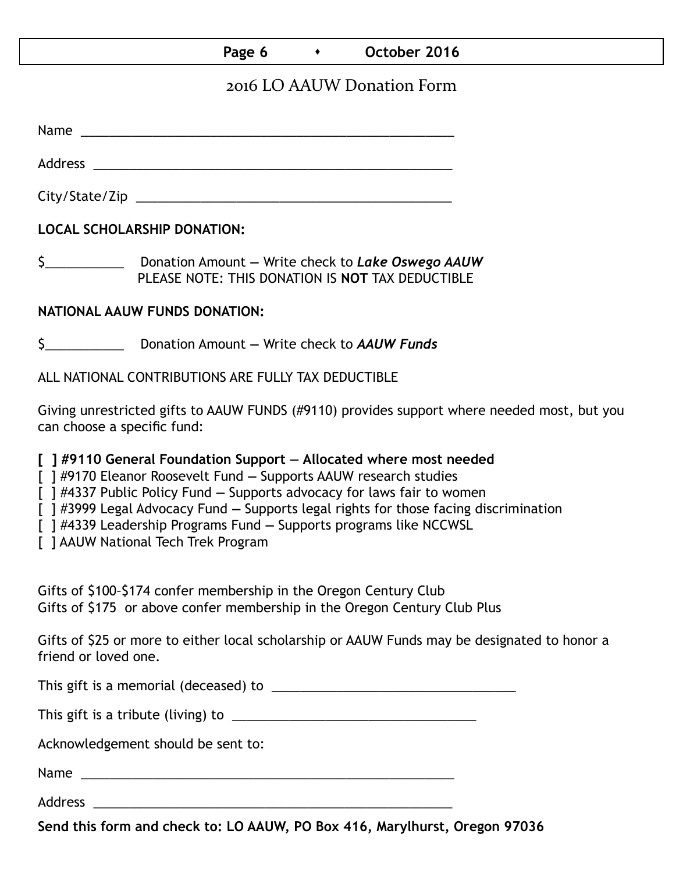### Page 6 **b c** October 2016

## 2016 LO AAUW Donation Form

Name was also as a set of  $\sim$  200  $\mu$  m  $\sim$  200  $\mu$  m  $\sim$  200  $\mu$  m  $\sim$  200  $\mu$  m  $\sim$  200  $\mu$ 

Address \_\_\_\_\_\_\_\_\_\_\_\_\_\_\_\_\_\_\_\_\_\_\_\_\_\_\_\_\_\_\_\_\_\_\_\_\_\_\_\_\_\_\_\_\_\_\_\_\_\_

City/State/Zip \_\_\_\_\_\_\_\_\_\_\_\_\_\_\_\_\_\_\_\_\_\_\_\_\_\_\_\_\_\_\_\_\_\_\_\_\_\_\_\_\_\_\_\_

**LOCAL SCHOLARSHIP DONATION:**

\$\_\_\_\_\_\_\_\_\_\_\_ Donation Amount **—** Write check to *Lake Oswego AAUW* PLEASE NOTE: THIS DONATION IS **NOT** TAX DEDUCTIBLE

## **NATIONAL AAUW FUNDS DONATION:**

\$\_\_\_\_\_\_\_\_\_\_\_ Donation Amount **—** Write check to *AAUW Funds*

ALL NATIONAL CONTRIBUTIONS ARE FULLY TAX DEDUCTIBLE

Giving unrestricted gifts to AAUW FUNDS (#9110) provides support where needed most, but you can choose a specific fund:

**[ ] #9110 General Foundation Support — Allocated where most needed** 

[ ] #9170 Eleanor Roosevelt Fund **—** Supports AAUW research studies

[ ] #4337 Public Policy Fund **—** Supports advocacy for laws fair to women

[ ] #3999 Legal Advocacy Fund **—** Supports legal rights for those facing discrimination

[ ] #4339 Leadership Programs Fund **—** Supports programs like NCCWSL

[ ] AAUW National Tech Trek Program

Gifts of \$100–\$174 confer membership in the Oregon Century Club Gifts of \$175 or above confer membership in the Oregon Century Club Plus

Gifts of \$25 or more to either local scholarship or AAUW Funds may be designated to honor a friend or loved one.

This gift is a memorial (deceased) to \_\_\_\_\_\_\_\_\_\_\_\_\_\_\_\_\_\_\_\_\_\_\_\_\_\_\_\_\_\_\_\_\_\_

This gift is a tribute (living) to \_\_\_\_\_\_\_\_\_\_\_\_\_\_\_\_\_\_\_\_\_\_\_\_\_\_\_\_\_\_\_\_\_\_

Acknowledgement should be sent to:

Name \_\_\_\_\_\_\_\_\_\_\_\_\_\_\_\_\_\_\_\_\_\_\_\_\_\_\_\_\_\_\_\_\_\_\_\_\_\_\_\_\_\_\_\_\_\_\_\_\_\_\_\_

Address \_\_\_\_\_\_\_\_\_\_\_\_\_\_\_\_\_\_\_\_\_\_\_\_\_\_\_\_\_\_\_\_\_\_\_\_\_\_\_\_\_\_\_\_\_\_\_\_\_\_

**Send this form and check to: LO AAUW, PO Box 416, Marylhurst, Oregon 97036**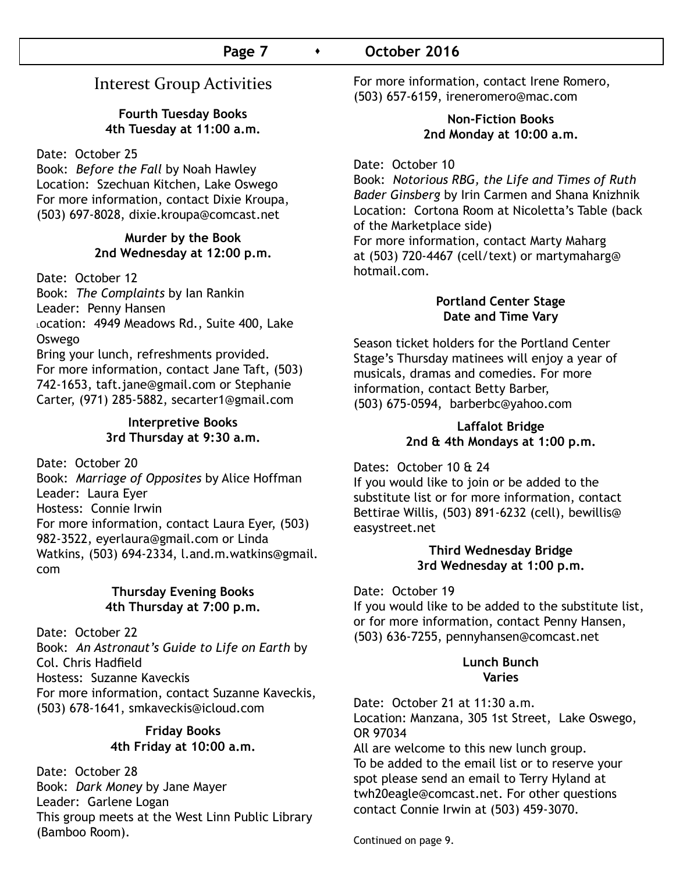# Interest Group Activities

### **Fourth Tuesday Books 4th Tuesday at 11:00 a.m.**

### Date: October 25

Book: *Before the Fall* by Noah Hawley Location: Szechuan Kitchen, Lake Oswego For more information, contact Dixie Kroupa, (503) 697-8028, dixie.kroupa@comcast.net

### **Murder by the Book 2nd Wednesday at 12:00 p.m.**

Date: October 12

Book: *The Complaints* by Ian Rankin Leader: Penny Hansen Location: 4949 Meadows Rd., Suite 400, Lake Oswego Bring your lunch, refreshments provided.

For more information, contact Jane Taft, (503) 742-1653, taft.jane@gmail.com or Stephanie Carter, (971) 285-5882, secarter1@gmail.com

### **Interpretive Books 3rd Thursday at 9:30 a.m.**

Date: October 20

Book: *Marriage of Opposites* by Alice Hoffman Leader: Laura Eyer Hostess: Connie Irwin For more information, contact Laura Eyer, (503) 982-3522, eyerlaura@gmail.com or Linda Watkins, (503) 694-2334, l.and.m.watkins@gmail. com

### **Thursday Evening Books 4th Thursday at 7:00 p.m.**

Date: October 22 Book: *An Astronaut's Guide to Life on Earth* by Col. Chris Hadfield Hostess: Suzanne Kaveckis For more information, contact Suzanne Kaveckis, (503) 678-1641, smkaveckis@icloud.com

### **Friday Books 4th Friday at 10:00 a.m.**

Date: October 28 Book: *Dark Money* by Jane Mayer Leader: Garlene Logan This group meets at the West Linn Public Library (Bamboo Room).

For more information, contact Irene Romero, (503) 657-6159, ireneromero@mac.com

### **Non-Fiction Books 2nd Monday at 10:00 a.m.**

Date: October 10

Book: *Notorious RBG, the Life and Times of Ruth Bader Ginsberg* by Irin Carmen and Shana Knizhnik Location: Cortona Room at Nicoletta's Table (back of the Marketplace side) For more information, contact Marty Maharg at (503) 720-4467 (cell/text) or martymaharg@ hotmail.com.

### **Portland Center Stage Date and Time Vary**

Season ticket holders for the Portland Center Stage's Thursday matinees will enjoy a year of musicals, dramas and comedies. For more information, contact Betty Barber, (503) 675-0594, barberbc@yahoo.com

### **Laffalot Bridge 2nd & 4th Mondays at 1:00 p.m.**

Dates: October 10 & 24

If you would like to join or be added to the substitute list or for more information, contact Bettirae Willis, (503) 891-6232 (cell), bewillis@ easystreet.net

### **Third Wednesday Bridge 3rd Wednesday at 1:00 p.m.**

Date: October 19

If you would like to be added to the substitute list, or for more information, contact Penny Hansen, (503) 636-7255, pennyhansen@comcast.net

### **Lunch Bunch Varies**

Date: October 21 at 11:30 a.m. Location: Manzana, 305 1st Street, Lake Oswego, OR 97034

All are welcome to this new lunch group. To be added to the email list or to reserve your spot please send an email to Terry Hyland at twh20eagle@comcast.net. For other questions contact Connie Irwin at (503) 459-3070.

Continued on page 9.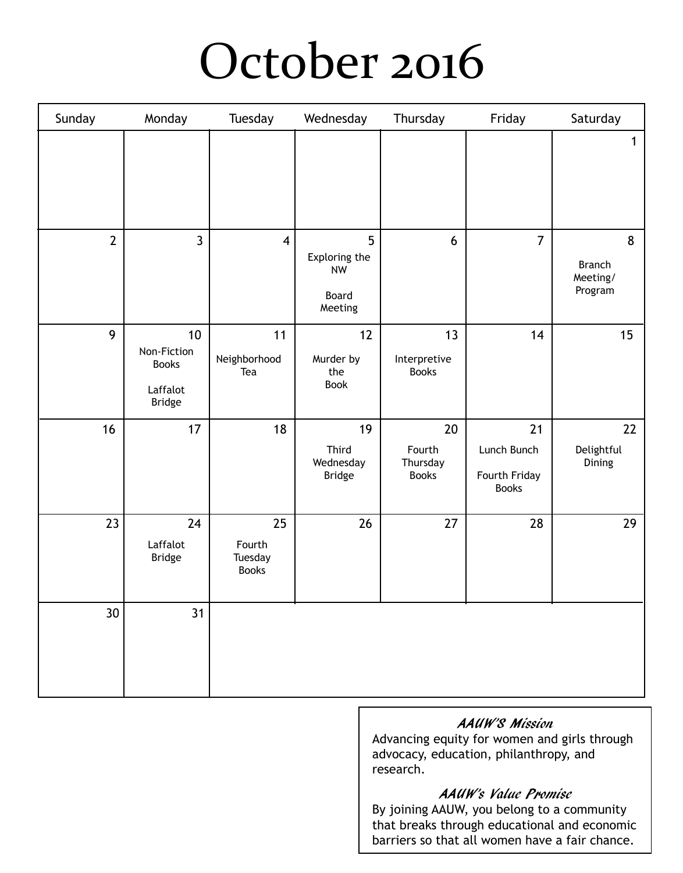# October 2016

| Sunday          | Monday                                                                      | Tuesday                                 | Wednesday                                           | Thursday                                 | Friday                                             | Saturday                                  |
|-----------------|-----------------------------------------------------------------------------|-----------------------------------------|-----------------------------------------------------|------------------------------------------|----------------------------------------------------|-------------------------------------------|
|                 |                                                                             |                                         |                                                     |                                          |                                                    | 1                                         |
| $\overline{2}$  | $\mathbf{3}$                                                                | $\overline{\mathbf{4}}$                 | 5<br>Exploring the<br><b>NW</b><br>Board<br>Meeting | 6                                        | $\overline{7}$                                     | 8<br><b>Branch</b><br>Meeting/<br>Program |
| 9               | 10 <sup>°</sup><br>Non-Fiction<br><b>Books</b><br>Laffalot<br><b>Bridge</b> | 11<br>Neighborhood<br>Tea               | 12<br>Murder by<br>the<br>Book                      | 13<br>Interpretive<br><b>Books</b>       | 14                                                 | 15                                        |
| 16              | 17                                                                          | 18                                      | 19<br>Third<br>Wednesday<br><b>Bridge</b>           | 20<br>Fourth<br>Thursday<br><b>Books</b> | 21<br>Lunch Bunch<br>Fourth Friday<br><b>Books</b> | 22<br>Delightful<br>Dining                |
| 23              | 24<br>Laffalot<br><b>Bridge</b>                                             | 25<br>Fourth<br>Tuesday<br><b>Books</b> | 26                                                  | 27                                       | 28                                                 | 29                                        |
| 30 <sup>°</sup> | 31                                                                          |                                         |                                                     |                                          |                                                    |                                           |

### AAUW'S Mission

Advancing equity for women and girls through advocacy, education, philanthropy, and research.

### AAUW's Value Promise

By joining AAUW, you belong to a community that breaks through educational and economic barriers so that all women have a fair chance.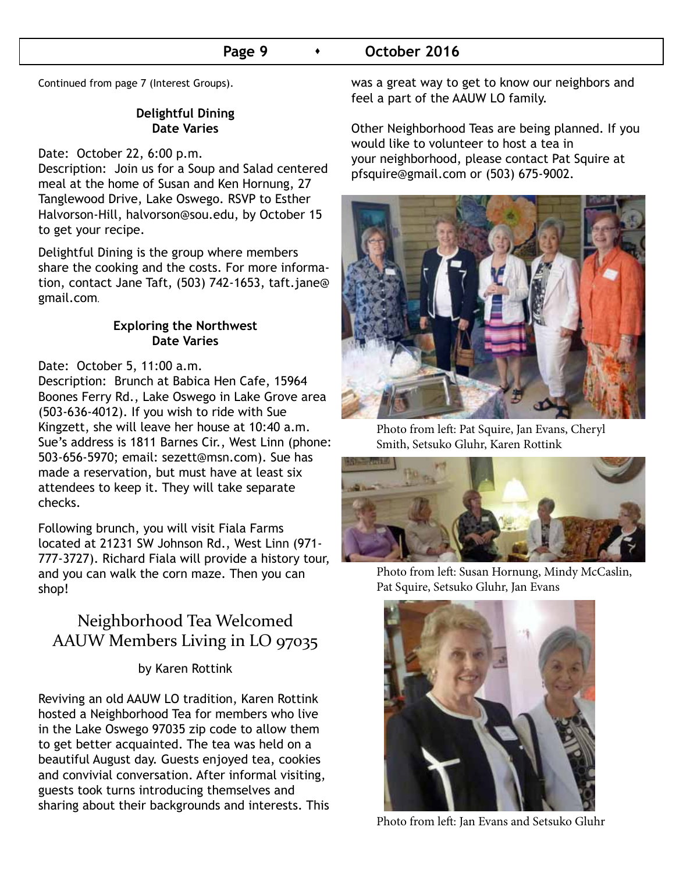### **Page 9**  $\longrightarrow$  **October 2016**

Continued from page 7 (Interest Groups).

### **Delightful Dining Date Varies**

Date: October 22, 6:00 p.m.

Description: Join us for a Soup and Salad centered meal at the home of Susan and Ken Hornung, 27 Tanglewood Drive, Lake Oswego. RSVP to Esther Halvorson-Hill, halvorson@sou.edu, by October 15 to get your recipe.

Delightful Dining is the group where members share the cooking and the costs. For more information, contact Jane Taft, (503) 742-1653, taft.jane@ gmail.com**.**

### **Exploring the Northwest Date Varies**

### Date: October 5, 11:00 a.m.

Description: Brunch at Babica Hen Cafe, 15964 Boones Ferry Rd., Lake Oswego in Lake Grove area (503-636-4012). If you wish to ride with Sue Kingzett, she will leave her house at 10:40 a.m. Sue's address is 1811 Barnes Cir., West Linn (phone: 503-656-5970; email: sezett@msn.com). Sue has made a reservation, but must have at least six attendees to keep it. They will take separate checks.

Following brunch, you will visit Fiala Farms located at 21231 SW Johnson Rd., West Linn (971- 777-3727). Richard Fiala will provide a history tour, and you can walk the corn maze. Then you can shop!

# Neighborhood Tea Welcomed AAUW Members Living in LO 97035

### by Karen Rottink

Reviving an old AAUW LO tradition, Karen Rottink hosted a Neighborhood Tea for members who live in the Lake Oswego 97035 zip code to allow them to get better acquainted. The tea was held on a beautiful August day. Guests enjoyed tea, cookies and convivial conversation. After informal visiting, guests took turns introducing themselves and sharing about their backgrounds and interests. This was a great way to get to know our neighbors and feel a part of the AAUW LO family.

Other Neighborhood Teas are being planned. If you would like to volunteer to host a tea in your neighborhood, please contact Pat Squire at pfsquire@gmail.com or (503) 675-9002.



Photo from left: Pat Squire, Jan Evans, Cheryl Smith, Setsuko Gluhr, Karen Rottink



Photo from left: Susan Hornung, Mindy McCaslin, Pat Squire, Setsuko Gluhr, Jan Evans



Photo from left: Jan Evans and Setsuko Gluhr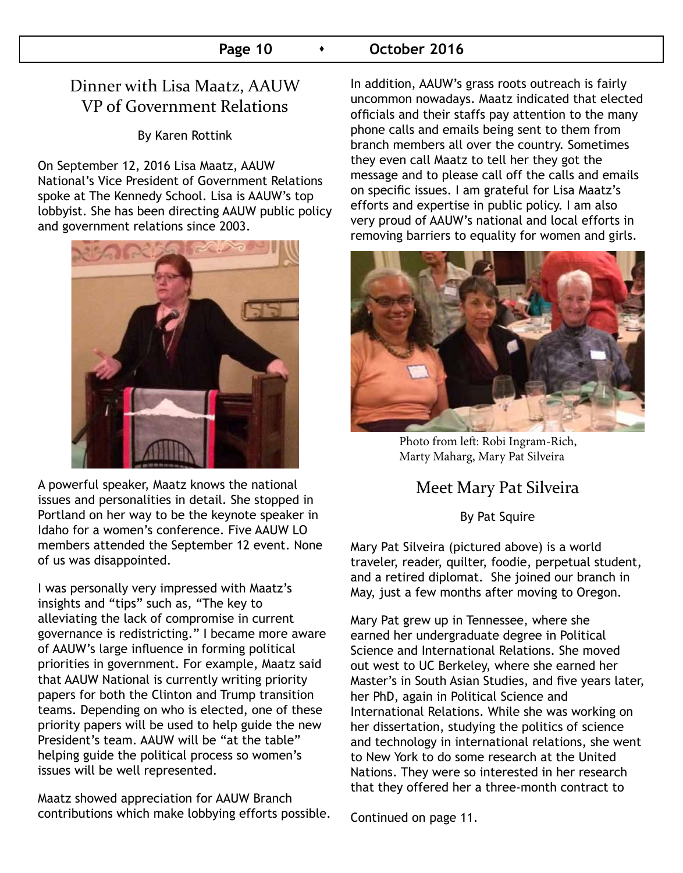### **Page 10**  $\longrightarrow$  **October 2016**

# Dinner with Lisa Maatz, AAUW VP of Government Relations

By Karen Rottink

On September 12, 2016 Lisa Maatz, AAUW National's Vice President of Government Relations spoke at The Kennedy School. Lisa is AAUW's top lobbyist. She has been directing AAUW public policy and government relations since 2003.



A powerful speaker, Maatz knows the national issues and personalities in detail. She stopped in Portland on her way to be the keynote speaker in Idaho for a women's conference. Five AAUW LO members attended the September 12 event. None of us was disappointed.

I was personally very impressed with Maatz's insights and "tips" such as, "The key to alleviating the lack of compromise in current governance is redistricting." I became more aware of AAUW's large influence in forming political priorities in government. For example, Maatz said that AAUW National is currently writing priority papers for both the Clinton and Trump transition teams. Depending on who is elected, one of these priority papers will be used to help guide the new President's team. AAUW will be "at the table" helping guide the political process so women's issues will be well represented.

Maatz showed appreciation for AAUW Branch contributions which make lobbying efforts possible. In addition, AAUW's grass roots outreach is fairly uncommon nowadays. Maatz indicated that elected officials and their staffs pay attention to the many phone calls and emails being sent to them from branch members all over the country. Sometimes they even call Maatz to tell her they got the message and to please call off the calls and emails on specific issues. I am grateful for Lisa Maatz's efforts and expertise in public policy. I am also very proud of AAUW's national and local efforts in removing barriers to equality for women and girls.



Photo from left: Robi Ingram-Rich, Marty Maharg, Mary Pat Silveira

# Meet Mary Pat Silveira

### By Pat Squire

Mary Pat Silveira (pictured above) is a world traveler, reader, quilter, foodie, perpetual student, and a retired diplomat. She joined our branch in May, just a few months after moving to Oregon.

Mary Pat grew up in Tennessee, where she earned her undergraduate degree in Political Science and International Relations. She moved out west to UC Berkeley, where she earned her Master's in South Asian Studies, and five years later, her PhD, again in Political Science and International Relations. While she was working on her dissertation, studying the politics of science and technology in international relations, she went to New York to do some research at the United Nations. They were so interested in her research that they offered her a three-month contract to

Continued on page 11.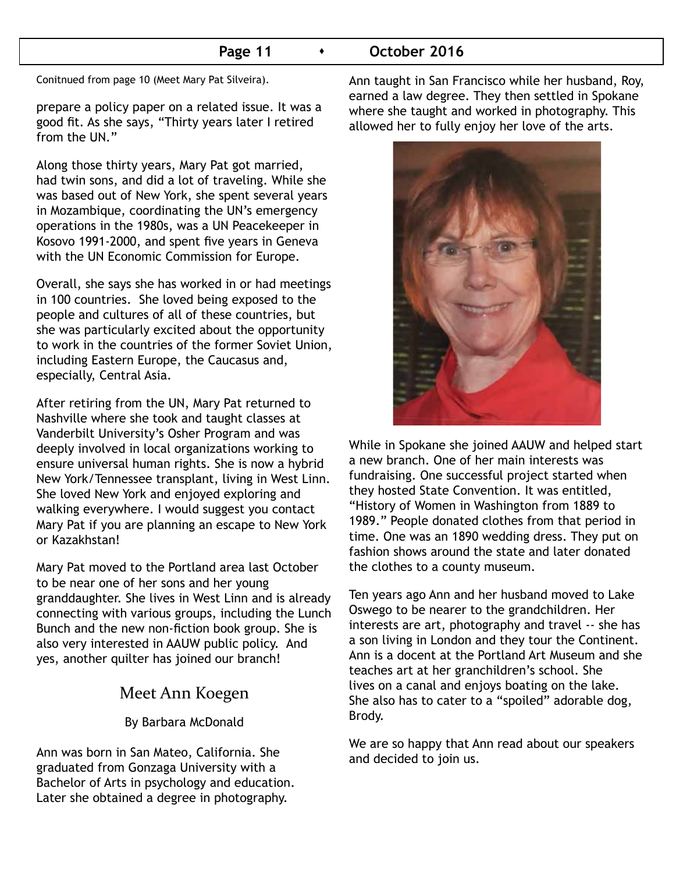### **Page 11 •** October 2016

Conitnued from page 10 (Meet Mary Pat Silveira).

prepare a policy paper on a related issue. It was a good fit. As she says, "Thirty years later I retired from the UN."

Along those thirty years, Mary Pat got married, had twin sons, and did a lot of traveling. While she was based out of New York, she spent several years in Mozambique, coordinating the UN's emergency operations in the 1980s, was a UN Peacekeeper in Kosovo 1991-2000, and spent five years in Geneva with the UN Economic Commission for Europe.

Overall, she says she has worked in or had meetings in 100 countries. She loved being exposed to the people and cultures of all of these countries, but she was particularly excited about the opportunity to work in the countries of the former Soviet Union, including Eastern Europe, the Caucasus and, especially, Central Asia.

After retiring from the UN, Mary Pat returned to Nashville where she took and taught classes at Vanderbilt University's Osher Program and was deeply involved in local organizations working to ensure universal human rights. She is now a hybrid New York/Tennessee transplant, living in West Linn. She loved New York and enjoyed exploring and walking everywhere. I would suggest you contact Mary Pat if you are planning an escape to New York or Kazakhstan!

Mary Pat moved to the Portland area last October to be near one of her sons and her young granddaughter. She lives in West Linn and is already connecting with various groups, including the Lunch Bunch and the new non-fiction book group. She is also very interested in AAUW public policy. And yes, another quilter has joined our branch!

### Meet Ann Koegen

By Barbara McDonald

Ann was born in San Mateo, California. She graduated from Gonzaga University with a Bachelor of Arts in psychology and education. Later she obtained a degree in photography.

Ann taught in San Francisco while her husband, Roy, earned a law degree. They then settled in Spokane where she taught and worked in photography. This allowed her to fully enjoy her love of the arts.



While in Spokane she joined AAUW and helped start a new branch. One of her main interests was fundraising. One successful project started when they hosted State Convention. It was entitled, "History of Women in Washington from 1889 to 1989." People donated clothes from that period in time. One was an 1890 wedding dress. They put on fashion shows around the state and later donated the clothes to a county museum.

Ten years ago Ann and her husband moved to Lake Oswego to be nearer to the grandchildren. Her interests are art, photography and travel -- she has a son living in London and they tour the Continent. Ann is a docent at the Portland Art Museum and she teaches art at her granchildren's school. She lives on a canal and enjoys boating on the lake. She also has to cater to a "spoiled" adorable dog, Brody.

We are so happy that Ann read about our speakers and decided to join us.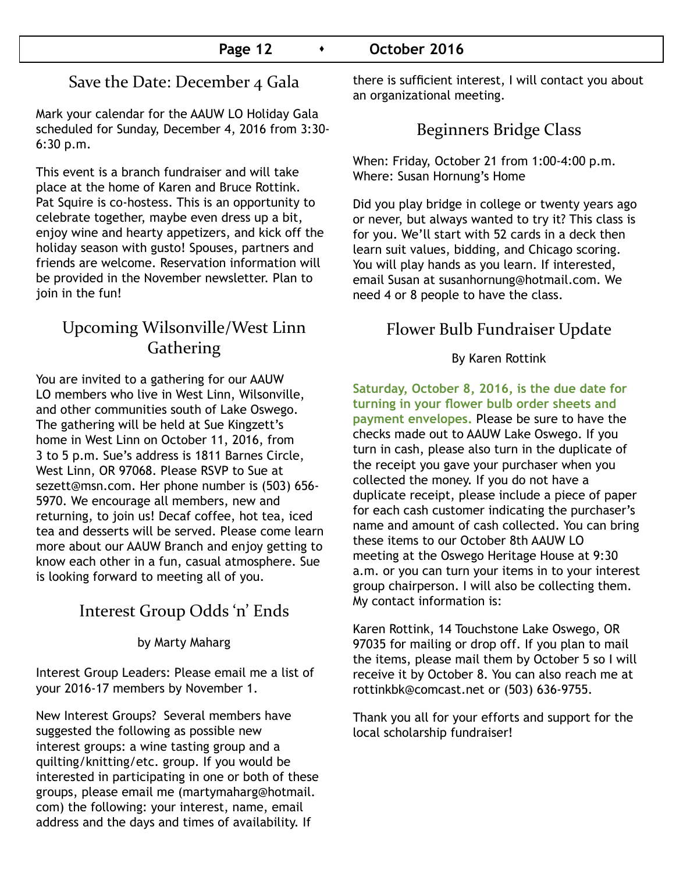# Save the Date: December 4 Gala

Mark your calendar for the AAUW LO Holiday Gala scheduled for Sunday, December 4, 2016 from 3:30- 6:30 p.m.

This event is a branch fundraiser and will take place at the home of Karen and Bruce Rottink. Pat Squire is co-hostess. This is an opportunity to celebrate together, maybe even dress up a bit, enjoy wine and hearty appetizers, and kick off the holiday season with gusto! Spouses, partners and friends are welcome. Reservation information will be provided in the November newsletter. Plan to join in the fun!

# Upcoming Wilsonville/West Linn **Gathering**

You are invited to a gathering for our AAUW LO members who live in West Linn, Wilsonville, and other communities south of Lake Oswego. The gathering will be held at Sue Kingzett's home in West Linn on October 11, 2016, from 3 to 5 p.m. Sue's address is 1811 Barnes Circle, West Linn, OR 97068. Please RSVP to Sue at sezett@msn.com. Her phone number is (503) 656- 5970. We encourage all members, new and returning, to join us! Decaf coffee, hot tea, iced tea and desserts will be served. Please come learn more about our AAUW Branch and enjoy getting to know each other in a fun, casual atmosphere. Sue is looking forward to meeting all of you.

# Interest Group Odds 'n' Ends

by Marty Maharg

Interest Group Leaders: Please email me a list of your 2016-17 members by November 1.

New Interest Groups? Several members have suggested the following as possible new interest groups: a wine tasting group and a quilting/knitting/etc. group. If you would be interested in participating in one or both of these groups, please email me (martymaharg@hotmail. com) the following: your interest, name, email address and the days and times of availability. If

there is sufficient interest, I will contact you about an organizational meeting.

# Beginners Bridge Class

When: Friday, October 21 from 1:00-4:00 p.m. Where: Susan Hornung's Home

Did you play bridge in college or twenty years ago or never, but always wanted to try it? This class is for you. We'll start with 52 cards in a deck then learn suit values, bidding, and Chicago scoring. You will play hands as you learn. If interested, email Susan at susanhornung@hotmail.com. We need 4 or 8 people to have the class.

# Flower Bulb Fundraiser Update

### By Karen Rottink

**Saturday, October 8, 2016, is the due date for turning in your flower bulb order sheets and payment envelopes.** Please be sure to have the checks made out to AAUW Lake Oswego. If you turn in cash, please also turn in the duplicate of the receipt you gave your purchaser when you collected the money. If you do not have a duplicate receipt, please include a piece of paper for each cash customer indicating the purchaser's name and amount of cash collected. You can bring these items to our October 8th AAUW LO meeting at the Oswego Heritage House at 9:30 a.m. or you can turn your items in to your interest group chairperson. I will also be collecting them. My contact information is:

Karen Rottink, 14 Touchstone Lake Oswego, OR 97035 for mailing or drop off. If you plan to mail the items, please mail them by October 5 so I will receive it by October 8. You can also reach me at rottinkbk@comcast.net or (503) 636-9755.

Thank you all for your efforts and support for the local scholarship fundraiser!